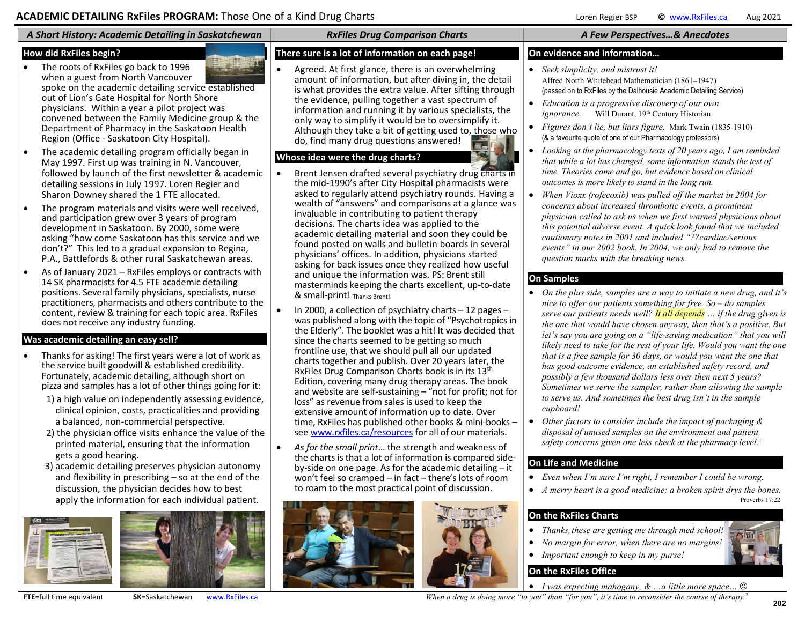# *A Short History: Academic Detailing in Saskatchewan RxFiles Drug Comparison Charts A Few Perspectives…& Anecdotes*

#### **How did RxFiles begin?**

- The roots of RxFiles go back to 1996 when a guest from North Vancouver spoke on the academic detailing service established out of Lion's Gate Hospital for North Shore physicians. Within a year a pilot project was convened between the Family Medicine group & the Department of Pharmacy in the Saskatoon Health Region (Office - Saskatoon City Hospital).
- The academic detailing program officially began in May 1997. First up was training in N. Vancouver, followed by launch of the first newsletter & academic detailing sessions in July 1997. Loren Regier and Sharon Downey shared the 1 FTE allocated.
- The program materials and visits were well received, and participation grew over 3 years of program development in Saskatoon. By 2000, some were asking "how come Saskatoon has this service and we don't?" This led to a gradual expansion to Regina, P.A., Battlefords & other rural Saskatchewan areas.
- As of January 2021 RxFiles employs or contracts with 14 SK pharmacists for 4.5 FTE academic detailing positions. Several family physicians, specialists, nurse practitioners, pharmacists and others contribute to the content, review & training for each topic area. RxFiles does not receive any industry funding.

## **Was academic detailing an easy sell?**

- Thanks for asking! The first years were a lot of work as the service built goodwill & established credibility. Fortunately, academic detailing, although short on pizza and samples has a lot of other things going for it:
	- 1) a high value on independently assessing evidence, clinical opinion, costs, practicalities and providing a balanced, non-commercial perspective.
	- 2) the physician office visits enhance the value of the printed material, ensuring that the information gets a good hearing.
	- 3) academic detailing preserves physician autonomy and flexibility in prescribing – so at the end of the discussion, the physician decides how to best apply the information for each individual patient.





## **There sure is a lot of information on each page!**

 Agreed. At first glance, there is an overwhelming amount of information, but after diving in, the detail is what provides the extra value. After sifting through the evidence, pulling together a vast spectrum of information and running it by various specialists, the only way to simplify it would be to oversimplify it. Although they take a bit of getting used to, those who do, find many drug questions answered!

## **Whose idea were the drug charts?**

- Brent Jensen drafted several psychiatry drug charts in the mid-1990's after City Hospital pharmacists were asked to regularly attend psychiatry rounds. Having a wealth of "answers" and comparisons at a glance was invaluable in contributing to patient therapy decisions. The charts idea was applied to the academic detailing material and soon they could be found posted on walls and bulletin boards in several physicians' offices. In addition, physicians started asking for back issues once they realized how useful and unique the information was. PS: Brent still masterminds keeping the charts excellent, up-to-date & small-print! Thanks Brent!
- In 2000, a collection of psychiatry charts 12 pages was published along with the topic of "Psychotropics in the Elderly". The booklet was a hit! It was decided that since the charts seemed to be getting so much frontline use, that we should pull all our updated charts together and publish. Over 20 years later, the RxFiles Drug Comparison Charts book is in its 13<sup>th</sup> Edition, covering many drug therapy areas. The book and website are self-sustaining – "not for profit; not for loss" as revenue from sales is used to keep the extensive amount of information up to date. Over time, RxFiles has published other books & mini-books – se[e www.rxfiles.ca/resources f](http://www.rxfiles.ca/resources)or all of our materials.
- *As for the small print*… the strength and weakness of the charts is that a lot of information is compared sideby-side on one page. As for the academic detailing – it won't feel so cramped – in fact – there's lots of room to roam to the most practical point of discussion.





#### **On evidence and information…**

- *Seek simplicity, and mistrust it!*  Alfred North Whitehead Mathematician (1861–1947) (passed on to RxFiles by the Dalhousie Academic Detailing Service)
- *Education is a progressive discovery of our own ignorance.* [Will Durant,](http://www.quotationspage.com/quote/1370.html) 19<sup>th</sup> Century Historian
- *Figures don't lie, but liars figure.* Mark Twain (1835-1910) (& a favourite quote of one of our Pharmacology professors)
- *Looking at the pharmacology texts of 20 years ago, I am reminded that while a lot has changed, some information stands the test of time. Theories come and go, but evidence based on clinical outcomes is more likely to stand in the long run.*
- *When Vioxx (rofecoxib) was pulled off the market in 2004 for concerns about increased thrombotic events, a prominent physician called to ask us when we first warned physicians about this potential adverse event. A quick look found that we included cautionary notes in 2001 and included "??cardiac/serious events" in our 2002 book. In 2004, we only had to remove the question marks with the breaking news.*

#### **On Samples**

- *On the plus side, samples are a way to initiate a new drug, and it's nice to offer our patients something for free. So – do samples serve our patients needs well? It all depends … if the drug given is the one that would have chosen anyway, then that's a positive. But let's say you are going on a "life-saving medication" that you will likely need to take for the rest of your life. Would you want the one that is a free sample for 30 days, or would you want the one that has good outcome evidence, an established safety record, and possibly a few thousand dollars less over then next 5 years? Sometimes we serve the sampler, rather than allowing the sample to serve us. And sometimes the best drug isn't in the sample cupboard!*
- *Other factors to consider include the impact of packaging & disposal of unused samples on the environment and patient safety concerns given one less check at the pharmacy level.*<sup>1</sup>

## **On Life and Medicine**

- *Even when I'm sure I'm right, I remember I could be wrong.*
- *A merry heart is a good medicine; a broken spirit drys the bones.* Proverbs 17:22

## **On the RxFiles Charts**

- *Thanks,these are getting me through med school!*
- *No margin for error, when there are no margins!*
- *Important enough to keep in my purse!*

# **On the RxFiles Office**

- *I was expecting mahogany, & …a little more space…*
- **FTE**=full time equivalent **SK**=Saskatchewan [www.RxFiles.ca](http://www.rxfiles.ca/) **When a** drug is doing more "to you" than "for you", it's time to reconsider the course of therapy.<sup>2</sup>